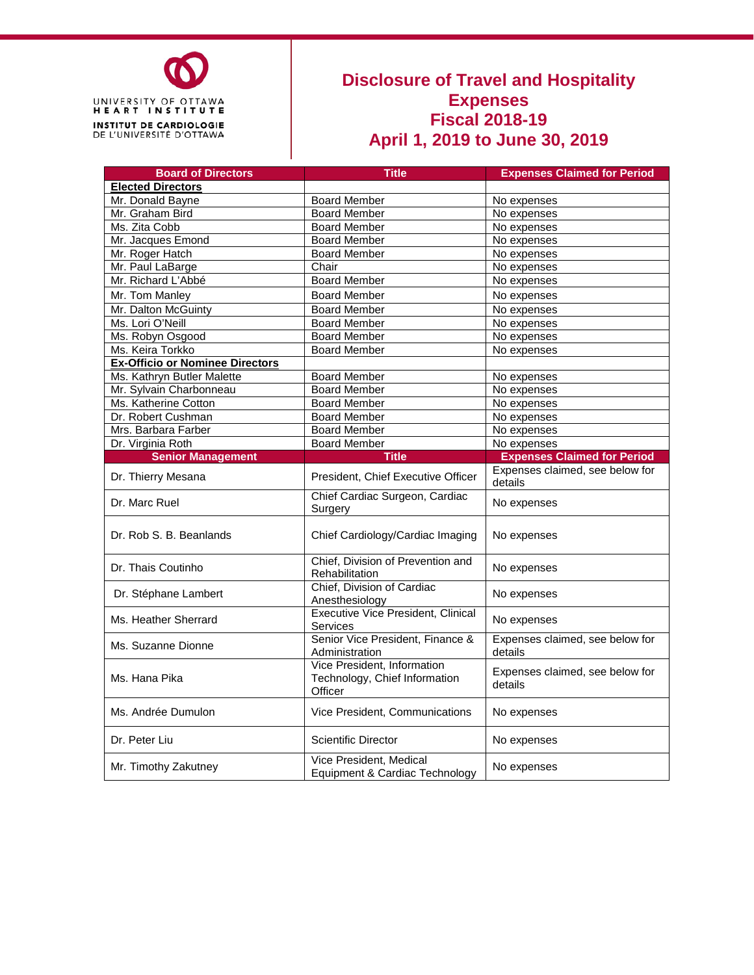

#### **Disclosure of Travel and Hospitality Expenses Fiscal 2018-19 April 1, 2019 to June 30, 2019**

| <b>Board of Directors</b>              | <b>Title</b>                                                            | <b>Expenses Claimed for Period</b>         |
|----------------------------------------|-------------------------------------------------------------------------|--------------------------------------------|
| <b>Elected Directors</b>               |                                                                         |                                            |
| Mr. Donald Bayne                       | <b>Board Member</b>                                                     | No expenses                                |
| Mr. Graham Bird                        | <b>Board Member</b>                                                     | No expenses                                |
| Ms. Zita Cobb                          | <b>Board Member</b>                                                     | No expenses                                |
| Mr. Jacques Emond                      | <b>Board Member</b>                                                     | No expenses                                |
| Mr. Roger Hatch                        | <b>Board Member</b>                                                     | No expenses                                |
| Mr. Paul LaBarge                       | Chair                                                                   | No expenses                                |
| Mr. Richard L'Abbé                     | <b>Board Member</b>                                                     | No expenses                                |
| Mr. Tom Manley                         | <b>Board Member</b>                                                     | No expenses                                |
| Mr. Dalton McGuinty                    | <b>Board Member</b>                                                     | No expenses                                |
| Ms. Lori O'Neill                       | <b>Board Member</b>                                                     | No expenses                                |
| Ms. Robyn Osgood                       | <b>Board Member</b>                                                     | No expenses                                |
| Ms. Keira Torkko                       | <b>Board Member</b>                                                     | No expenses                                |
| <b>Ex-Officio or Nominee Directors</b> |                                                                         |                                            |
| Ms. Kathryn Butler Malette             | <b>Board Member</b>                                                     | No expenses                                |
| Mr. Sylvain Charbonneau                | <b>Board Member</b>                                                     | No expenses                                |
| Ms. Katherine Cotton                   | <b>Board Member</b>                                                     | No expenses                                |
| Dr. Robert Cushman                     | <b>Board Member</b>                                                     | No expenses                                |
| Mrs. Barbara Farber                    | <b>Board Member</b>                                                     | No expenses                                |
| Dr. Virginia Roth                      | <b>Board Member</b>                                                     | No expenses                                |
| <b>Senior Management</b>               | <b>Title</b>                                                            | <b>Expenses Claimed for Period</b>         |
| Dr. Thierry Mesana                     | President, Chief Executive Officer                                      | Expenses claimed, see below for<br>details |
| Dr. Marc Ruel                          | Chief Cardiac Surgeon, Cardiac<br>Surgery                               | No expenses                                |
| Dr. Rob S. B. Beanlands                | Chief Cardiology/Cardiac Imaging                                        | No expenses                                |
| Dr. Thais Coutinho                     | Chief, Division of Prevention and<br>Rehabilitation                     | No expenses                                |
| Dr. Stéphane Lambert                   | Chief, Division of Cardiac<br>Anesthesiology                            | No expenses                                |
| Ms. Heather Sherrard                   | <b>Executive Vice President, Clinical</b><br><b>Services</b>            | No expenses                                |
| Ms. Suzanne Dionne                     | Senior Vice President, Finance &<br>Administration                      | Expenses claimed, see below for<br>details |
| Ms. Hana Pika                          | Vice President, Information<br>Technology, Chief Information<br>Officer | Expenses claimed, see below for<br>details |
| Ms. Andrée Dumulon                     | Vice President, Communications                                          | No expenses                                |
| Dr. Peter Liu                          | <b>Scientific Director</b>                                              | No expenses                                |
| Mr. Timothy Zakutney                   | Vice President, Medical<br>Equipment & Cardiac Technology               | No expenses                                |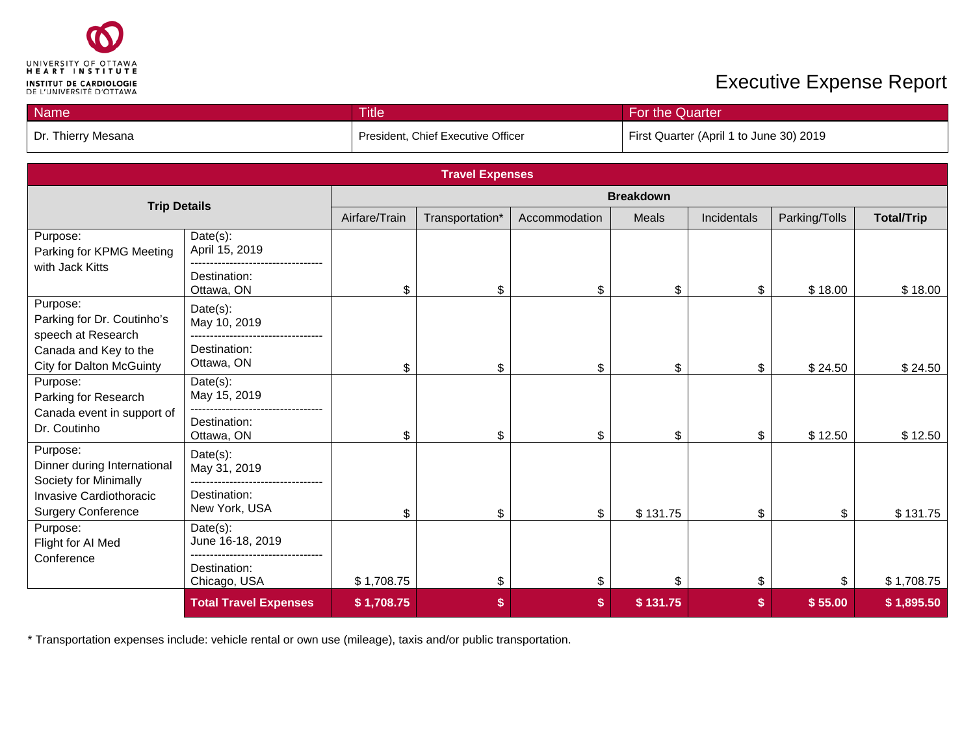

| <b>Name</b>        | <b>Title</b>                       | For the Quarter                         |
|--------------------|------------------------------------|-----------------------------------------|
| Dr. Thierry Mesana | President, Chief Executive Officer | First Quarter (April 1 to June 30) 2019 |

| <b>Travel Expenses</b>                                           |                               |                  |                 |               |          |             |               |                   |
|------------------------------------------------------------------|-------------------------------|------------------|-----------------|---------------|----------|-------------|---------------|-------------------|
|                                                                  |                               | <b>Breakdown</b> |                 |               |          |             |               |                   |
| <b>Trip Details</b>                                              |                               | Airfare/Train    | Transportation* | Accommodation | Meals    | Incidentals | Parking/Tolls | <b>Total/Trip</b> |
| Purpose:<br>Parking for KPMG Meeting                             | Date(s):<br>April 15, 2019    |                  |                 |               |          |             |               |                   |
| with Jack Kitts                                                  | Destination:<br>Ottawa, ON    | \$               | \$              | \$            | \$       | \$          | \$18.00       | \$18.00           |
| Purpose:<br>Parking for Dr. Coutinho's<br>speech at Research     | Date(s):<br>May 10, 2019      |                  |                 |               |          |             |               |                   |
| Canada and Key to the<br><b>City for Dalton McGuinty</b>         | Destination:<br>Ottawa, ON    | \$               | \$              | \$            | \$       | \$          | \$24.50       | \$24.50           |
| Purpose:<br>Parking for Research                                 | $Date(s)$ :<br>May 15, 2019   |                  |                 |               |          |             |               |                   |
| Canada event in support of<br>Dr. Coutinho                       | Destination:<br>Ottawa, ON    | \$               | \$              | \$            | \$       | \$          | \$12.50       | \$12.50           |
| Purpose:<br>Dinner during International<br>Society for Minimally | Date(s):<br>May 31, 2019      |                  |                 |               |          |             |               |                   |
| Invasive Cardiothoracic<br><b>Surgery Conference</b>             | Destination:<br>New York, USA | \$               | \$              | \$            | \$131.75 | \$          | \$            | \$131.75          |
| Purpose:<br>Flight for AI Med                                    | Date(s):<br>June 16-18, 2019  |                  |                 |               |          |             |               |                   |
| Conference                                                       | Destination:<br>Chicago, USA  | \$1,708.75       | \$              | \$            | \$       | \$          | \$            | \$1,708.75        |
|                                                                  | <b>Total Travel Expenses</b>  | \$1,708.75       | \$              | \$            | \$131.75 | \$          | \$55.00       | \$1,895.50        |

\* Transportation expenses include: vehicle rental or own use (mileage), taxis and/or public transportation.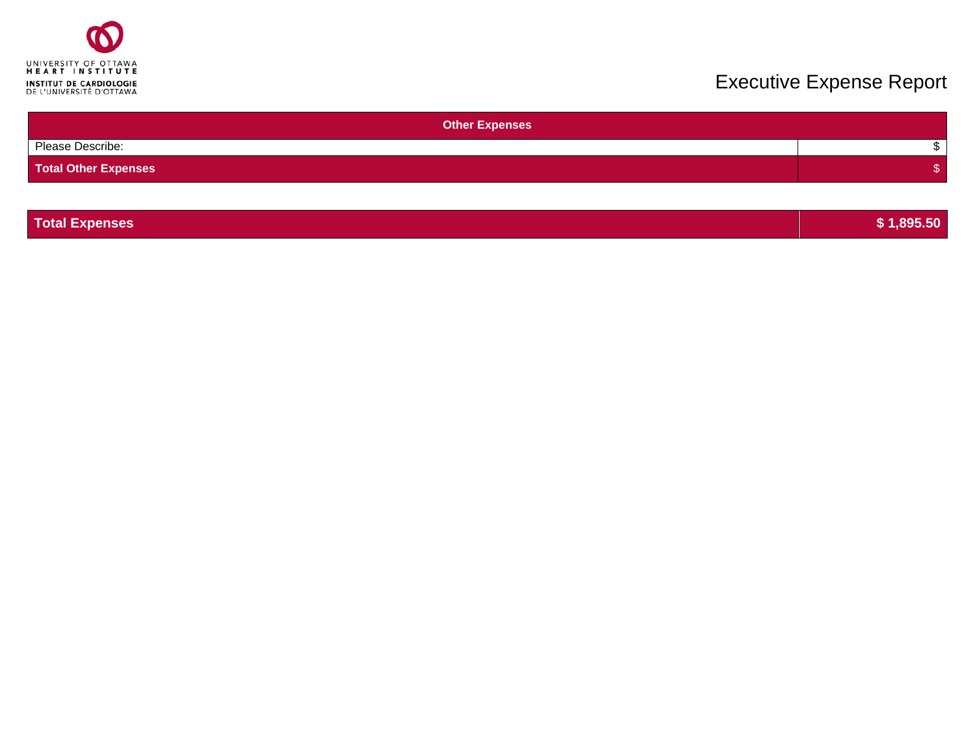

| <b>Other Expenses</b>       |  |
|-----------------------------|--|
| Please Describe:            |  |
| <b>Total Other Expenses</b> |  |
|                             |  |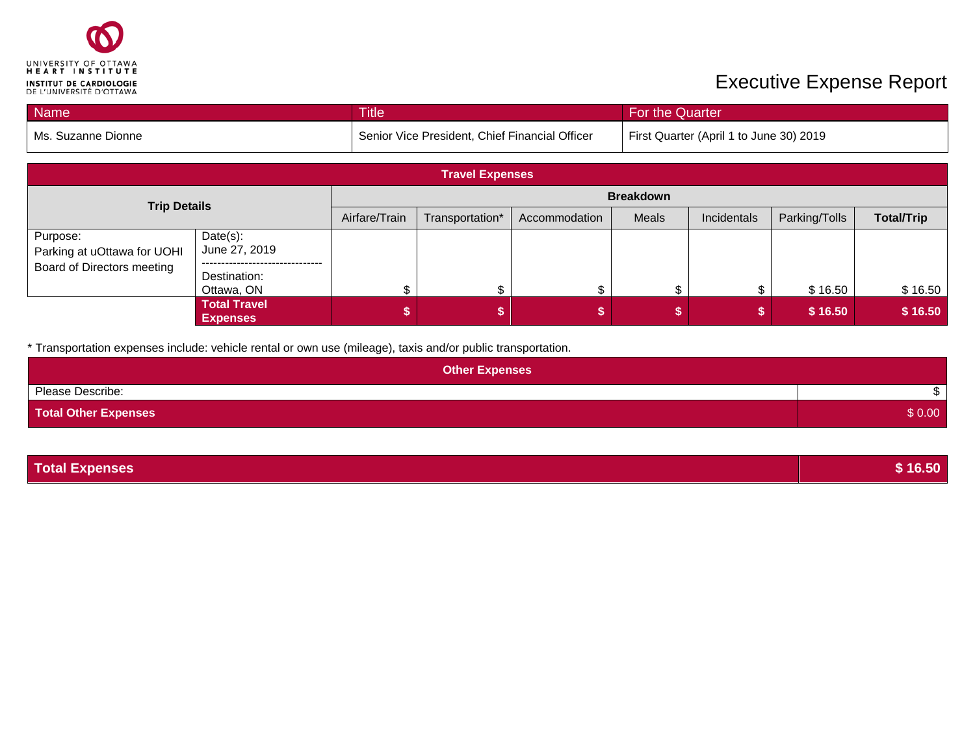

| <b>Name</b>        | <b>Title</b>                                   | For the Quarter                         |
|--------------------|------------------------------------------------|-----------------------------------------|
| Ms. Suzanne Dionne | Senior Vice President, Chief Financial Officer | First Quarter (April 1 to June 30) 2019 |

| <b>Travel Expenses</b>                                                |                                        |               |                 |               |                  |             |               |                   |
|-----------------------------------------------------------------------|----------------------------------------|---------------|-----------------|---------------|------------------|-------------|---------------|-------------------|
| <b>Trip Details</b>                                                   |                                        |               |                 |               | <b>Breakdown</b> |             |               |                   |
|                                                                       |                                        | Airfare/Train | Transportation* | Accommodation | Meals            | Incidentals | Parking/Tolls | <b>Total/Trip</b> |
| Purpose:<br>Parking at uOttawa for UOHI<br>Board of Directors meeting | $Date(s)$ :<br>June 27, 2019           |               |                 |               |                  |             |               |                   |
|                                                                       | Destination:<br>Ottawa, ON             |               | σ               |               |                  |             | \$16.50       | \$16.50           |
|                                                                       | <b>Total Travel</b><br><b>Expenses</b> |               |                 |               |                  |             | \$16.50       | \$16.50           |

\* Transportation expenses include: vehicle rental or own use (mileage), taxis and/or public transportation.

| <b>Other Expenses</b>       |        |
|-----------------------------|--------|
| Please Describe:            |        |
| <b>Total Other Expenses</b> | \$0.00 |